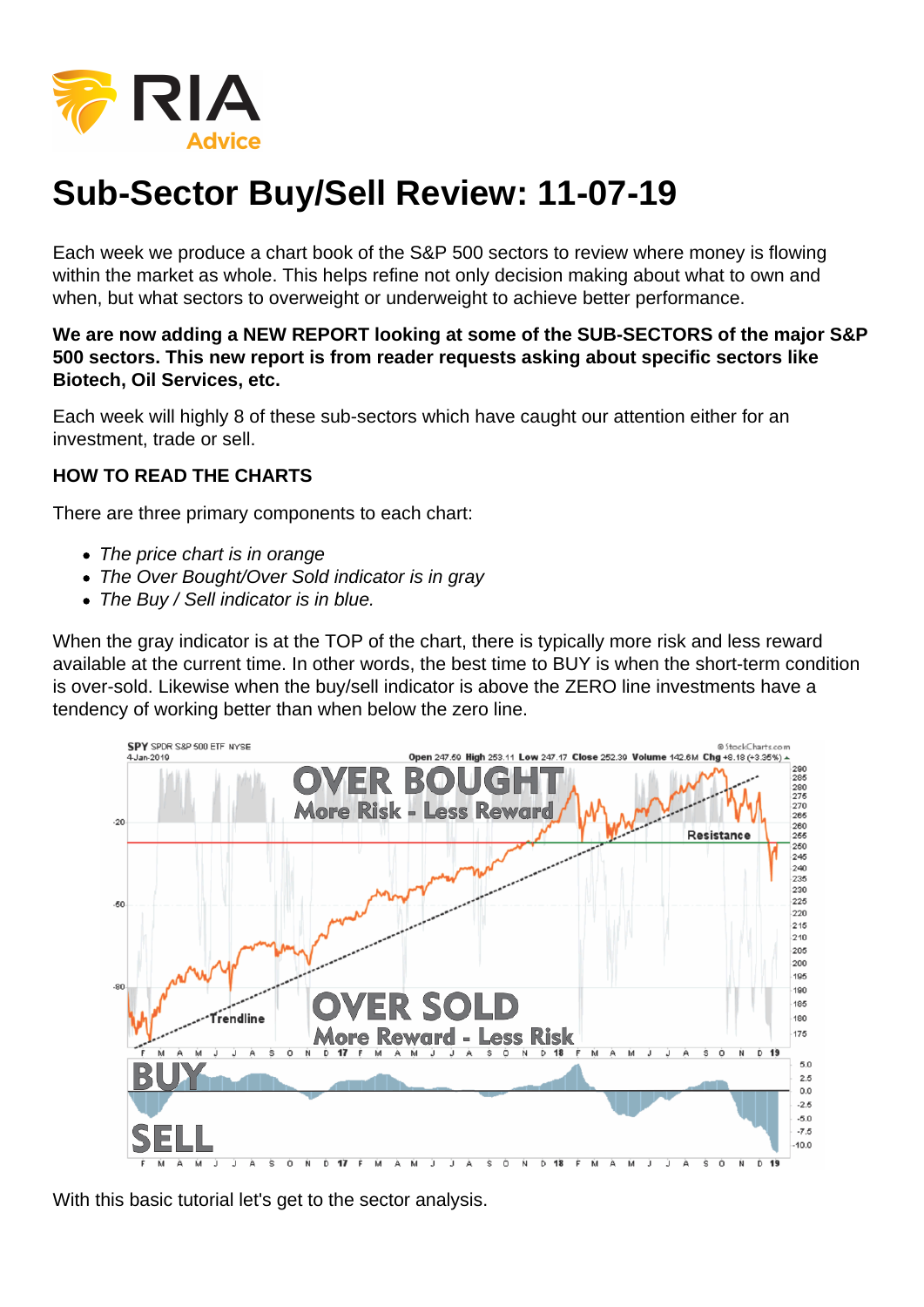## Sub-Sector Buy/Sell Review: 11-07-19

Each week we produce a chart book of the S&P 500 sectors to review where money is flowing within the market as whole. This helps refine not only decision making about what to own and when, but what sectors to overweight or underweight to achieve better performance.

We are now adding a NEW REPORT looking at some of the SUB-SECTORS of the major S&P 500 sectors. This new report is from reader requests asking about specific sectors like Biotech, Oil Services, etc.

Each week will highly 8 of these sub-sectors which have caught our attention either for an investment, trade or sell.

## HOW TO READ THE CHARTS

There are three primary components to each chart:

- The price chart is in orange
- The Over Bought/Over Sold indicator is in gray
- The Buy / Sell indicator is in blue.

When the gray indicator is at the TOP of the chart, there is typically more risk and less reward available at the current time. In other words, the best time to BUY is when the short-term condition is over-sold. Likewise when the buy/sell indicator is above the ZERO line investments have a tendency of working better than when below the zero line.

With this basic tutorial let's get to the sector analysis.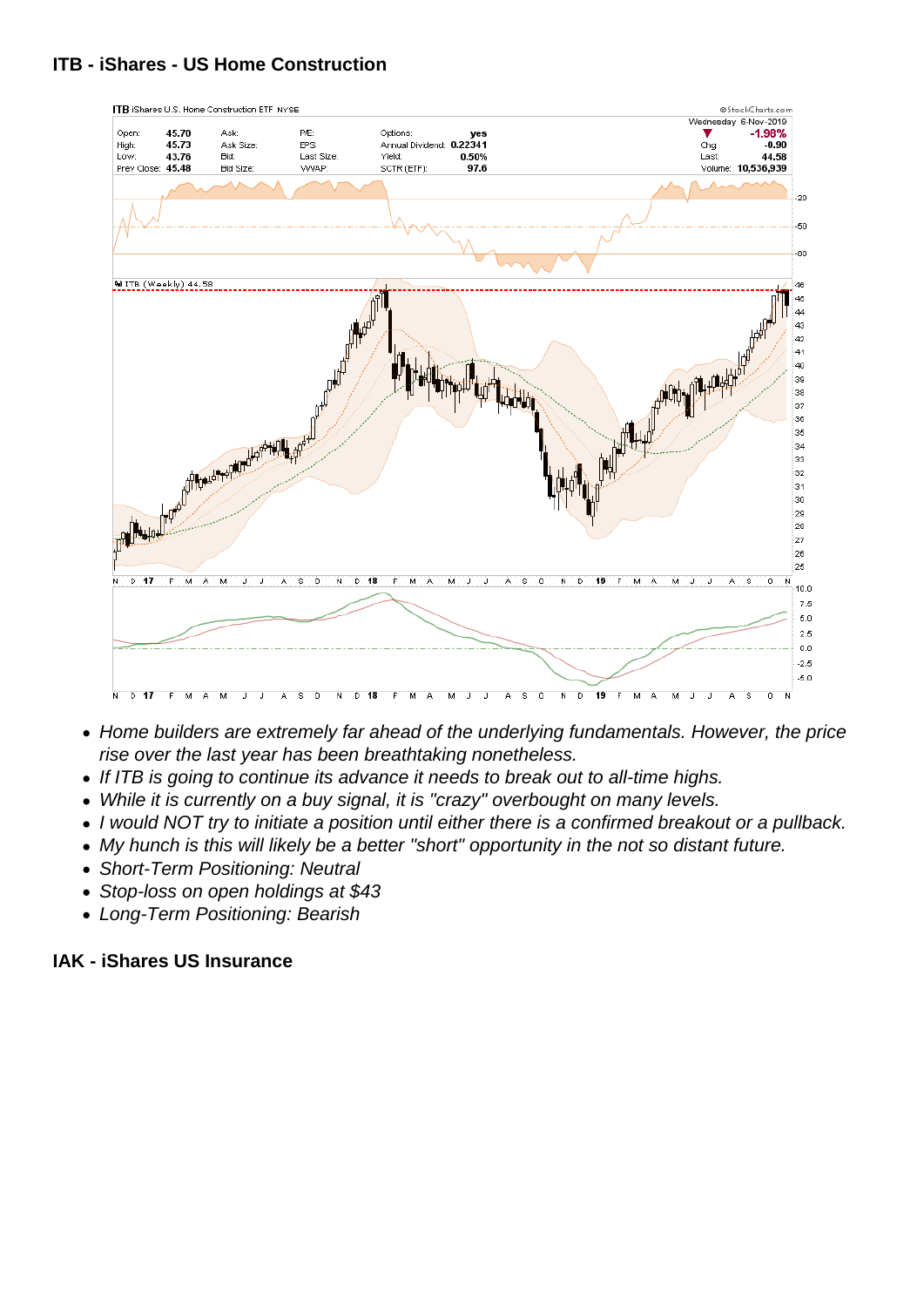- Home builders are extremely far ahead of the underlying fundamentals. However, the price rise over the last year has been breathtaking nonetheless.
- If ITB is going to continue its advance it needs to break out to all-time highs.
- While it is currently on a buy signal, it is "crazy" overbought on many levels.
- I would NOT try to initiate a position until either there is a confirmed breakout or a pullback.
- My hunch is this will likely be a better "short" opportunity in the not so distant future.
- Short-Term Positioning: Neutral
- Stop-loss on open holdings at \$43
- Long-Term Positioning: Bearish

IAK - iShares US Insurance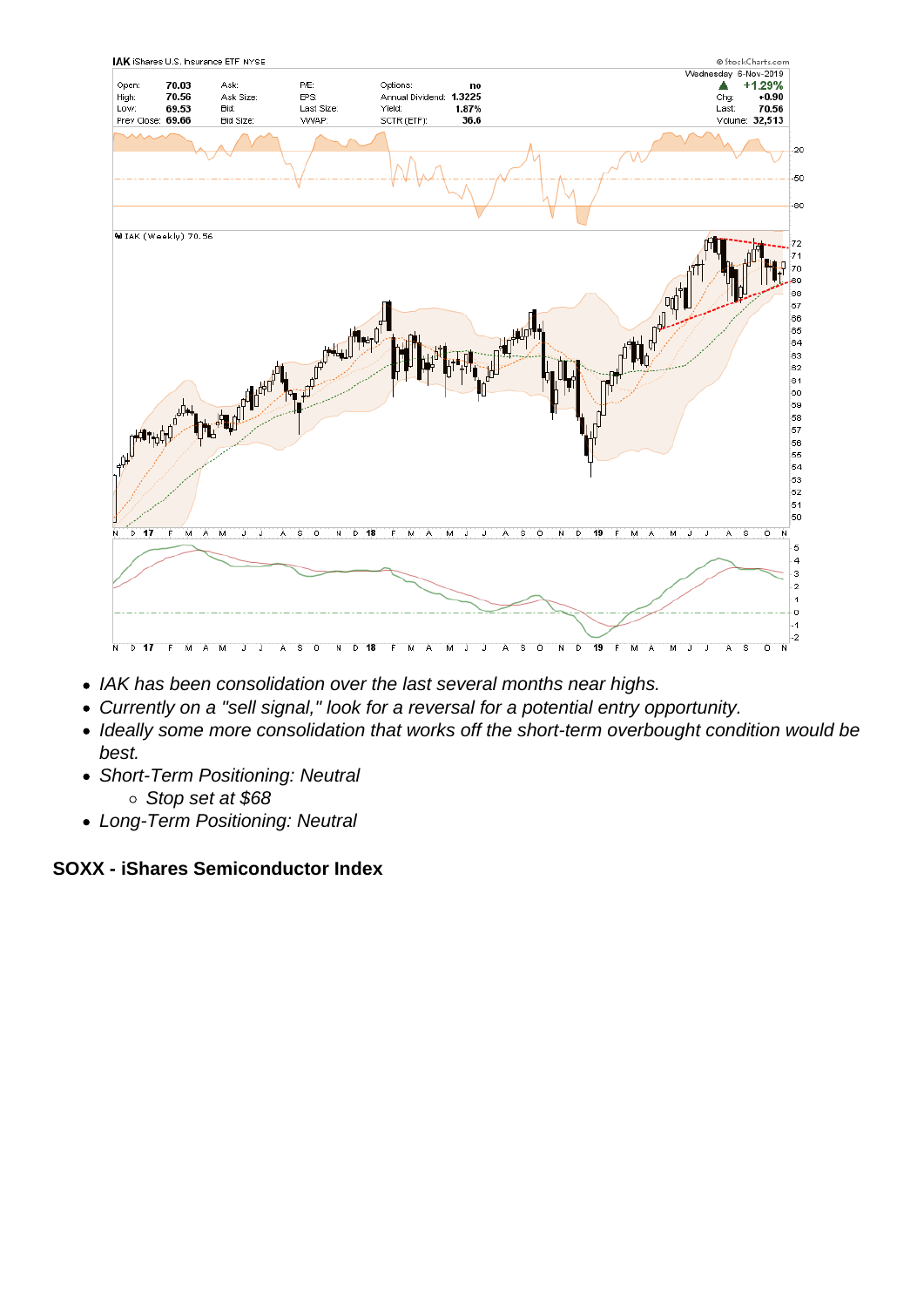- IAK has been consolidation over the last several months near highs.
- Currently on a "sell signal," look for a reversal for a potential entry opportunity.
- Ideally some more consolidation that works off the short-term overbought condition would be best.
- Short-Term Positioning: Neutral
	- Stop set at \$68
- Long-Term Positioning: Neutral

SOXX - iShares Semiconductor Index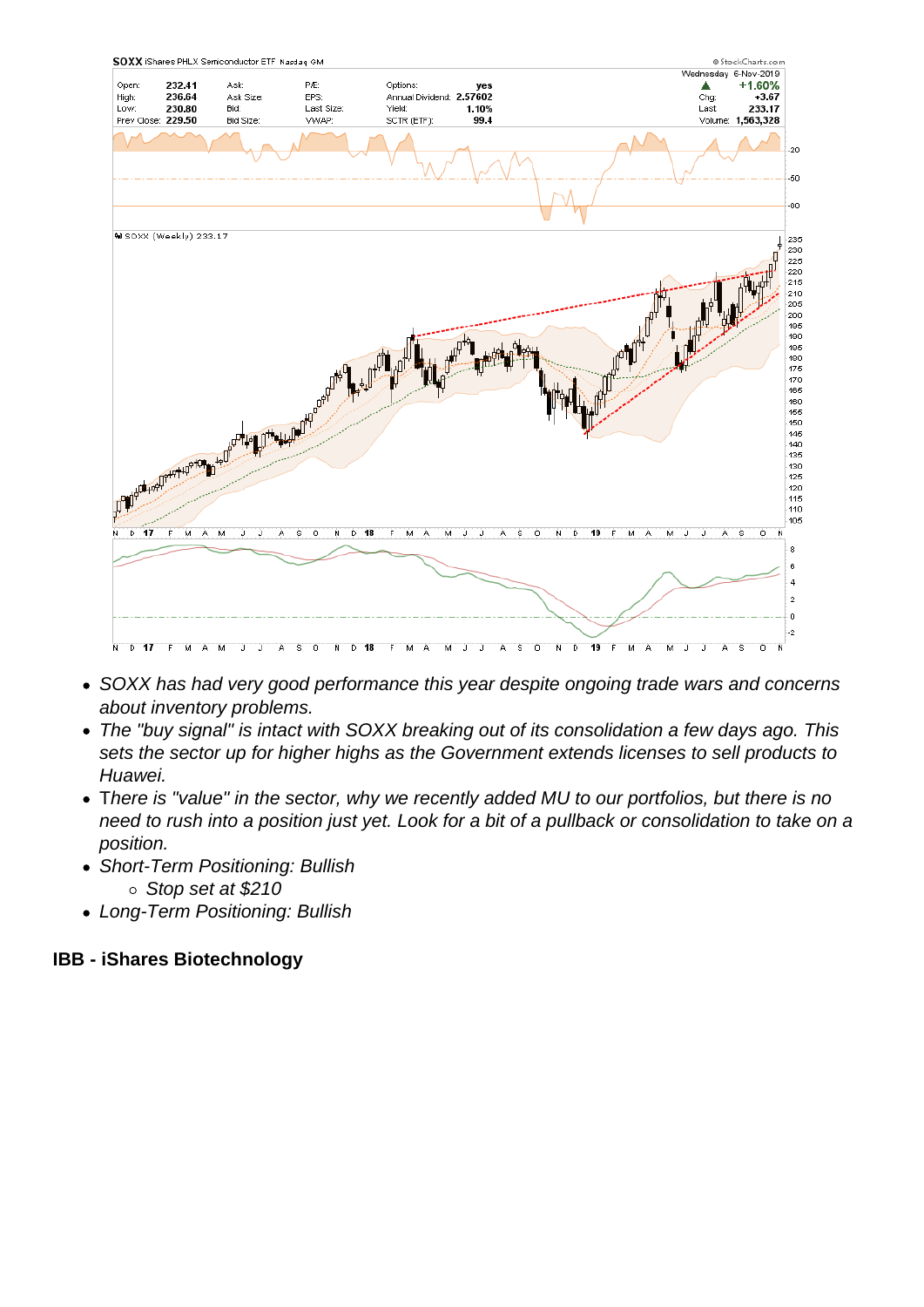- SOXX has had very good performance this year despite ongoing trade wars and concerns about inventory problems.
- The "buy signal" is intact with SOXX breaking out of its consolidation a few days ago. This sets the sector up for higher highs as the Government extends licenses to sell products to Huawei.
- There is "value" in the sector, why we recently added MU to our portfolios, but there is no need to rush into a position just yet. Look for a bit of a pullback or consolidation to take on a position.
- Short-Term Positioning: Bullish
	- Stop set at \$210
- Long-Term Positioning: Bullish

IBB - iShares Biotechnology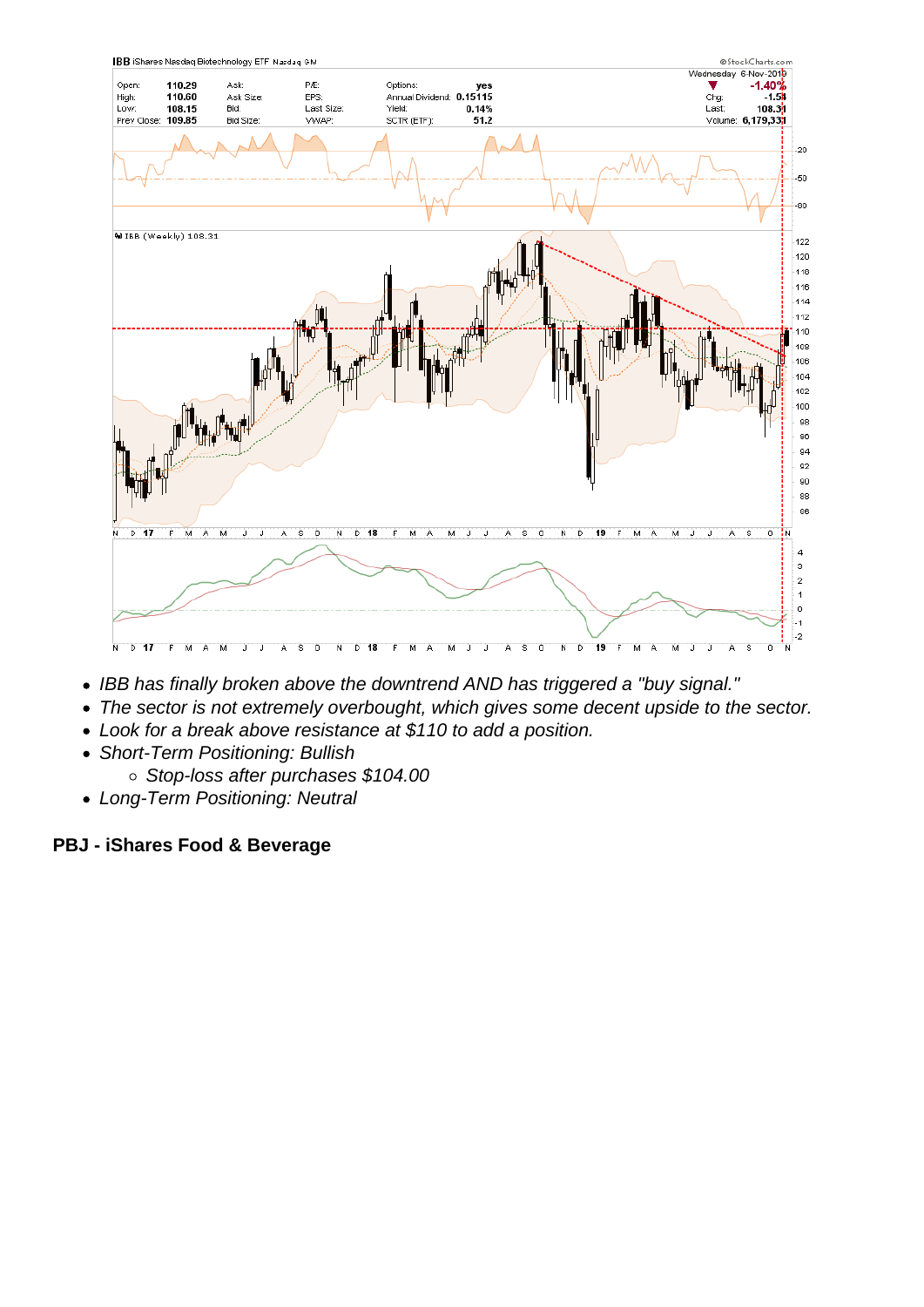- IBB has finally broken above the downtrend AND has triggered a "buy signal."
- The sector is not extremely overbought, which gives some decent upside to the sector.
- Look for a break above resistance at \$110 to add a position.
- Short-Term Positioning: Bullish
	- Stop-loss after purchases \$104.00
- Long-Term Positioning: Neutral

PBJ - iShares Food & Beverage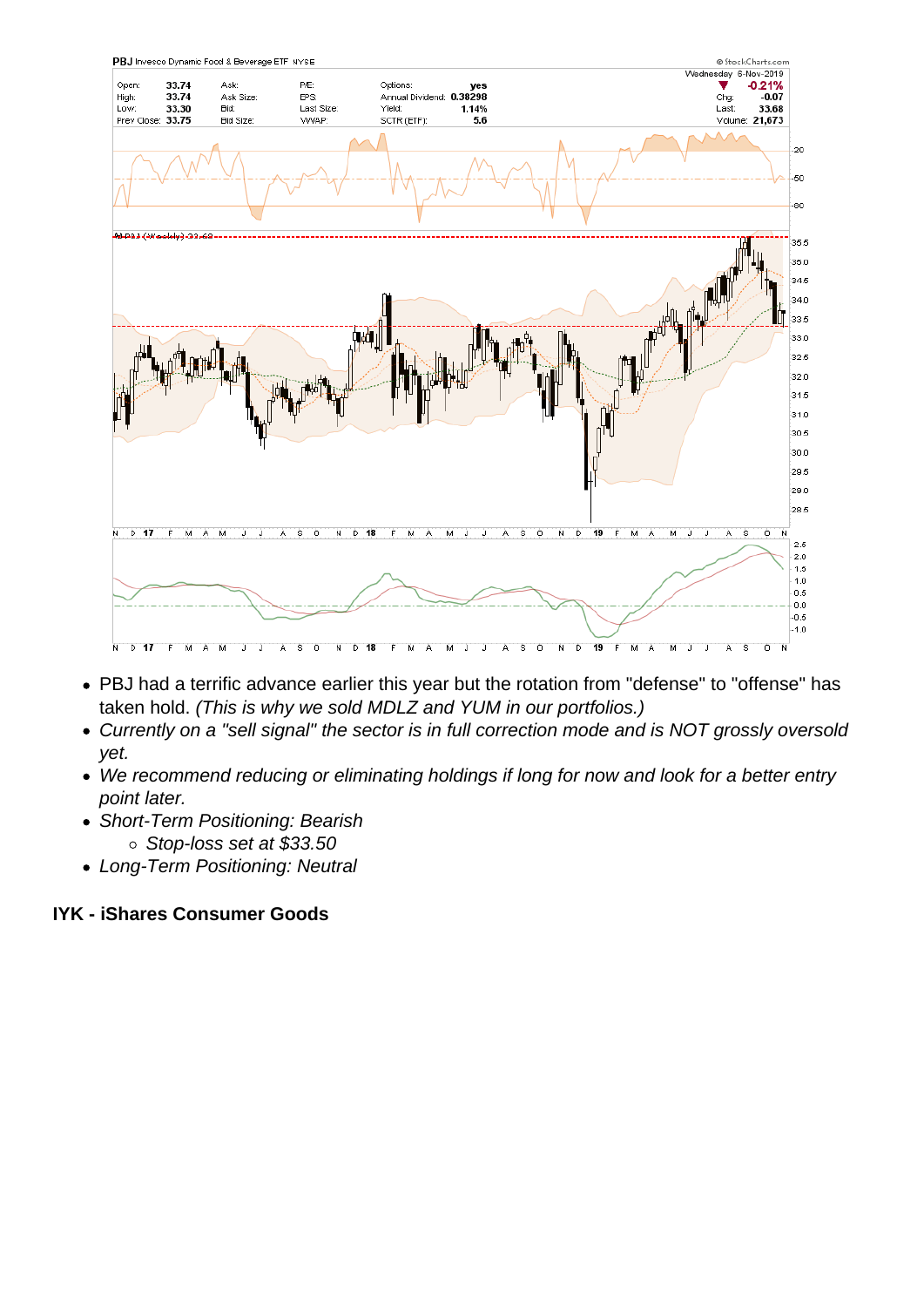- PBJ had a terrific advance earlier this year but the rotation from "defense" to "offense" has taken hold. (This is why we sold MDLZ and YUM in our portfolios.)
- Currently on a "sell signal" the sector is in full correction mode and is NOT grossly oversold yet.
- We recommend reducing or eliminating holdings if long for now and look for a better entry point later.
- Short-Term Positioning: Bearish
	- Stop-loss set at \$33.50
- Long-Term Positioning: Neutral

IYK - iShares Consumer Goods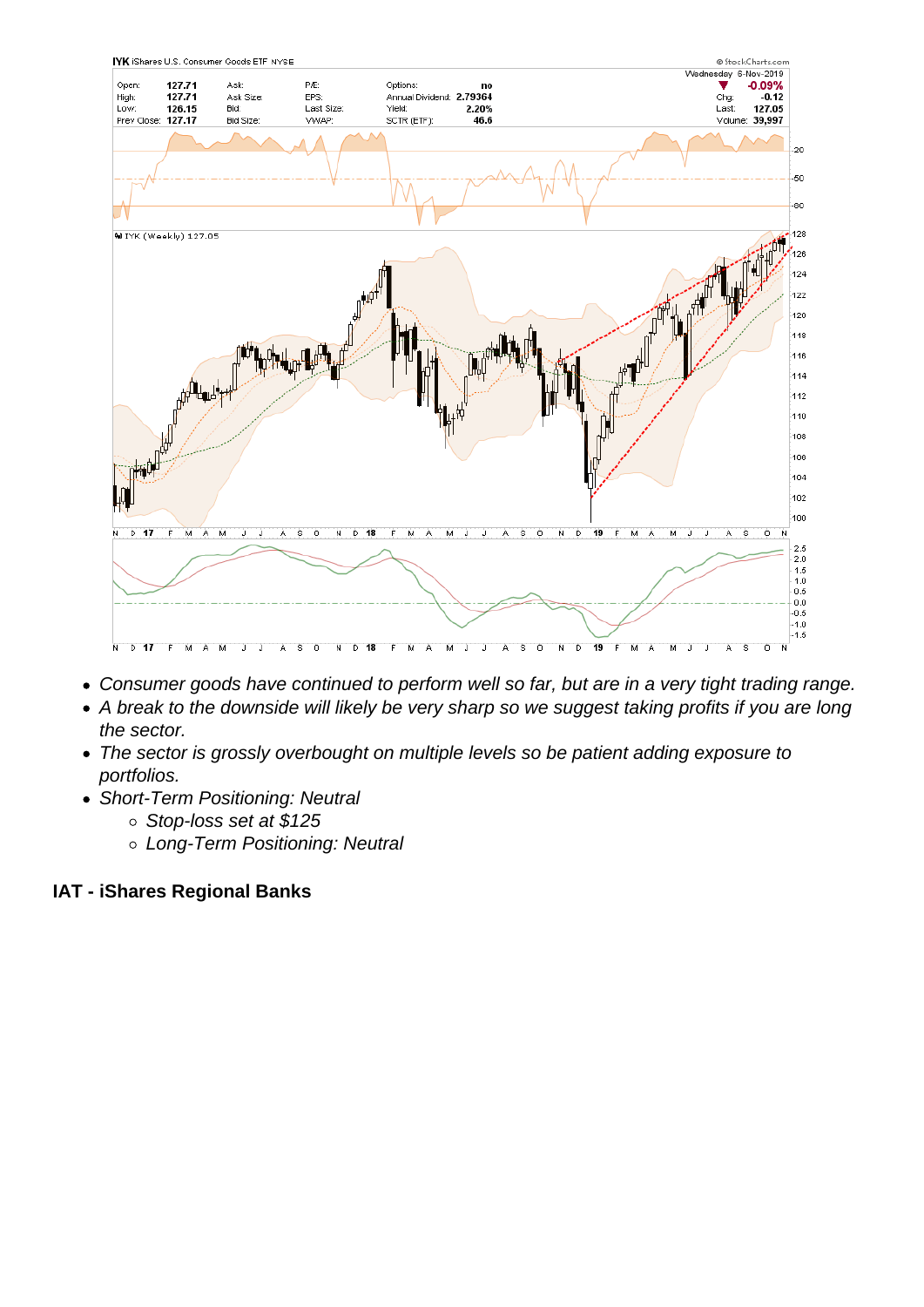- Consumer goods have continued to perform well so far, but are in a very tight trading range.
- A break to the downside will likely be very sharp so we suggest taking profits if you are long the sector.
- The sector is grossly overbought on multiple levels so be patient adding exposure to portfolios.
- Short-Term Positioning: Neutral
	- o Stop-loss set at \$125
	- Long-Term Positioning: Neutral

IAT - iShares Regional Banks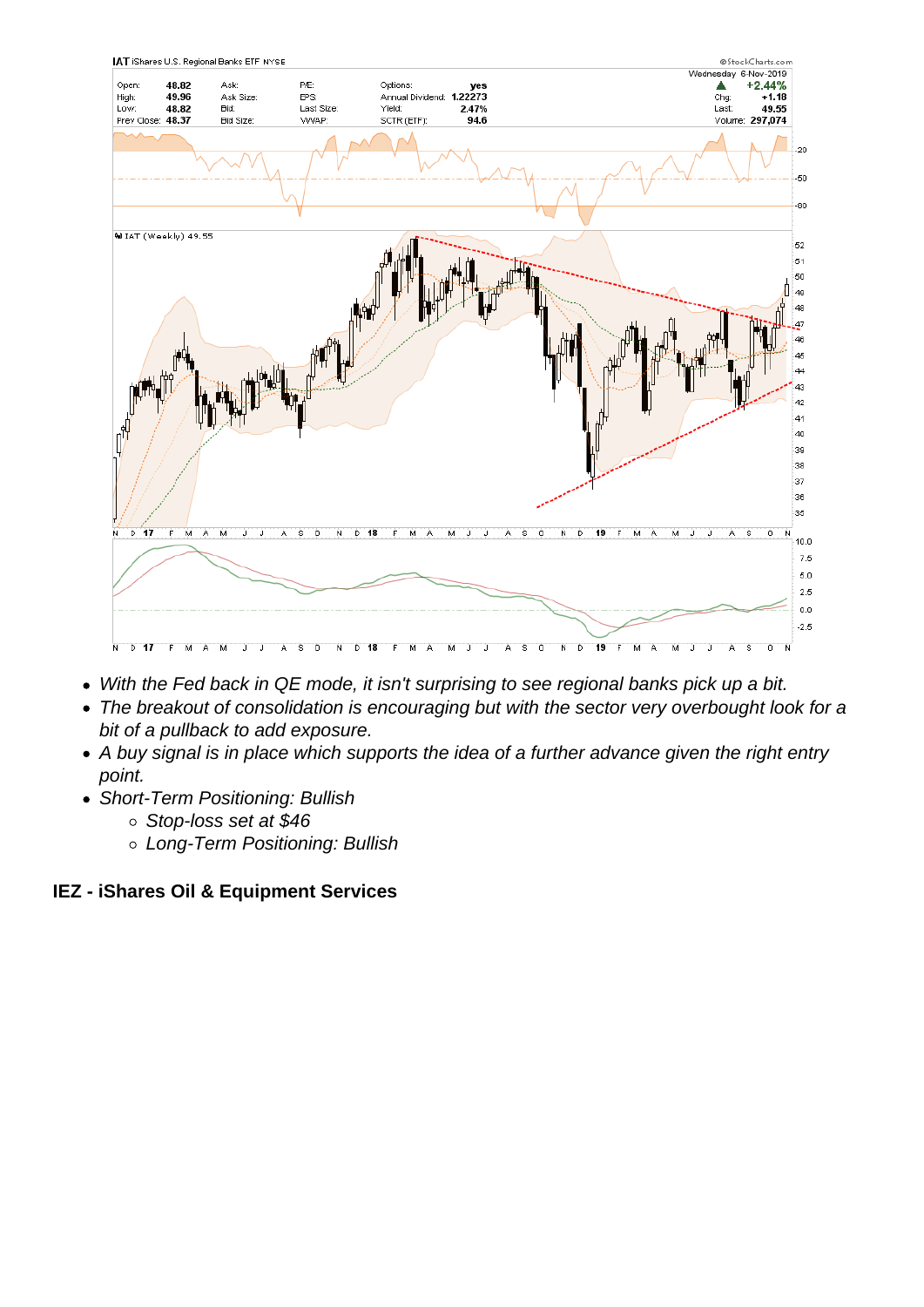- With the Fed back in QE mode, it isn't surprising to see regional banks pick up a bit.
- The breakout of consolidation is encouraging but with the sector very overbought look for a bit of a pullback to add exposure.
- A buy signal is in place which supports the idea of a further advance given the right entry point.
- Short-Term Positioning: Bullish
	- Stop-loss set at \$46
	- Long-Term Positioning: Bullish

IEZ - iShares Oil & Equipment Services